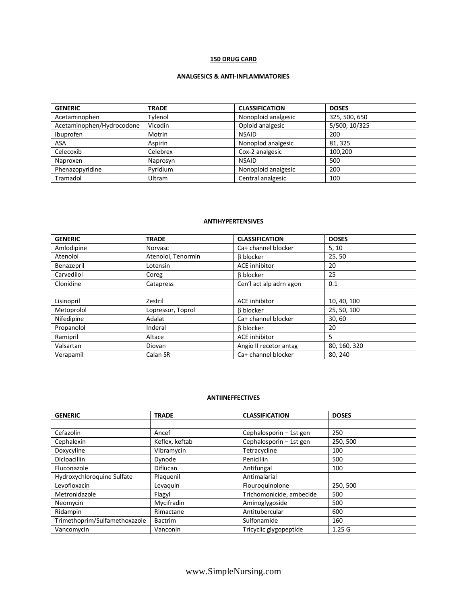# **150 DRUG CARD**

# **ANALGESICS & ANTI-INFLAMMATORIES**

| <b>GENERIC</b>            | <b>TRADE</b> | <b>CLASSIFICATION</b> | <b>DOSES</b>  |
|---------------------------|--------------|-----------------------|---------------|
| Acetaminophen             | Tylenol      | Nonoploid analgesic   | 325, 500, 650 |
| Acetaminophen/Hydrocodone | Vicodin      | Oploid analgesic      | 5/500, 10/325 |
| Ibuprofen                 | Motrin       | <b>NSAID</b>          | 200           |
| <b>ASA</b>                | Aspirin      | Nonoplod analgesic    | 81.325        |
| Celecoxib                 | Celebrex     | Cox-2 analgesic       | 100.200       |
| Naproxen                  | Naprosyn     | <b>NSAID</b>          | 500           |
| Phenazopyridine           | Pyridium     | Nonoploid analgesic   | 200           |
| Tramadol                  | Ultram       | Central analgesic     | 100           |

## **ANTIHYPERTENSIVES**

| <b>GENERIC</b> | <b>TRADE</b>       | <b>CLASSIFICATION</b>   | <b>DOSES</b> |
|----------------|--------------------|-------------------------|--------------|
| Amlodipine     | Norvasc            | Ca+ channel blocker     | 5, 10        |
| Atenolol       | Atenolol, Tenormin | <b>B</b> blocker        | 25,50        |
| Benazepril     | Lotensin           | <b>ACE</b> inhibitor    | 20           |
| Carvedilol     | Coreg              | <b>B</b> blocker        | 25           |
| Clonidine      | Catapress          | Cen'l act alp adrn agon | 0.1          |
|                |                    |                         |              |
| Lisinopril     | Zestril            | <b>ACE</b> inhibitor    | 10, 40, 100  |
| Metoprolol     | Lopressor, Toprol  | <b>B</b> blocker        | 25, 50, 100  |
| Nifedipine     | Adalat             | Ca+ channel blocker     | 30,60        |
| Propanolol     | Inderal            | <b>B</b> blocker        | 20           |
| Ramipril       | Altace             | <b>ACE</b> inhibitor    | 5            |
| Valsartan      | Diovan             | Angio II recetor antag  | 80, 160, 320 |
| Verapamil      | Calan SR           | Ca+ channel blocker     | 80.240       |

### **ANTIINEFFECTIVES**

| <b>GENERIC</b>                | <b>TRADE</b>    | <b>CLASSIFICATION</b>    | <b>DOSES</b>      |
|-------------------------------|-----------------|--------------------------|-------------------|
|                               |                 |                          |                   |
| Cefazolin                     | Ancef           | Cephalosporin - 1st gen  | 250               |
| Cephalexin                    | Keflex, keftab  | Cephalosporin - 1st gen  | 250, 500          |
| Doxycyline                    | Vibramycin      | Tetracycline             | 100               |
| <b>Dicloacillin</b>           | Dynode          | Penicillin               | 500               |
| Fluconazole                   | <b>Diflucan</b> | Antifungal               | 100               |
| Hydroxychloroguine Sulfate    | Plaguenil       | Antimalarial             |                   |
| Levofloxacin                  | Levaquin        | Flouroquinolone          | 250, 500          |
| Metronidazole                 | Flagyl          | Trichomonicide, ambecide | 500               |
| Neomycin                      | Mycifradin      | Aminoglygoside           | 500               |
| Ridampin                      | Rimactane       | Antitubercular           | 600               |
| Trimethoprim/Sulfamethoxazole | <b>Bactrim</b>  | Sulfonamide              | 160               |
| Vancomycin                    | Vanconin        | Tricyclic glygopeptide   | 1.25 <sub>G</sub> |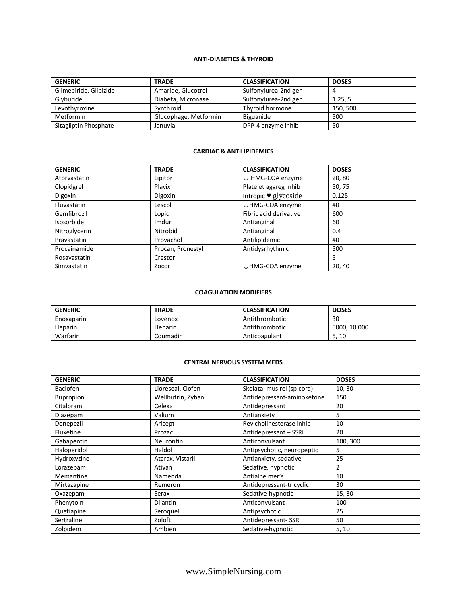### **ANTI-DIABETICS & THYROID**

| <b>GENERIC</b>         | <b>TRADE</b>          | <b>CLASSIFICATION</b> | <b>DOSES</b> |
|------------------------|-----------------------|-----------------------|--------------|
| Glimepiride, Glipizide | Amaride, Glucotrol    | Sulfonylurea-2nd gen  |              |
| Glyburide              | Diabeta, Micronase    | Sulfonylurea-2nd gen  | 1.25, 5      |
| Levothyroxine          | Synthroid             | Thyroid hormone       | 150, 500     |
| Metformin              | Glucophage, Metformin | Biguanide             | 500          |
| Sitagliptin Phosphate  | Januvia               | DPP-4 enzyme inhib-   | 50           |

#### **CARDIAC & ANTILIPIDEMICS**

| <b>GENERIC</b> | <b>TRADE</b>      | <b>CLASSIFICATION</b>                   | <b>DOSES</b> |
|----------------|-------------------|-----------------------------------------|--------------|
| Atorvastatin   | Lipitor           | ↓ HMG-COA enzyme                        | 20,80        |
| Clopidgrel     | Plavix            | Platelet aggreg inhib                   | 50,75        |
| Digoxin        | Digoxin           | Intropic $\blacktriangledown$ glycoside | 0.125        |
| Fluvastatin    | Lescol            | ↓HMG-COA enzyme                         | 40           |
| Gemfibrozil    | Lopid             | Fibric acid derivative                  | 600          |
| Isosorbide     | Imdur             | Antianginal                             | 60           |
| Nitroglycerin  | Nitrobid          | Antianginal                             | 0.4          |
| Pravastatin    | Provachol         | Antilipidemic                           | 40           |
| Procainamide   | Procan, Pronestyl | Antidysrhythmic                         | 500          |
| Rosavastatin   | Crestor           |                                         | 5            |
| Simvastatin    | Zocor             | ↓HMG-COA enzyme                         | 20, 40       |

#### **COAGULATION MODIFIERS**

| <b>GENERIC</b> | <b>TRADE</b> | <b>CLASSIFICATION</b> | <b>DOSES</b> |
|----------------|--------------|-----------------------|--------------|
| Enoxaparin     | Lovenox      | Antithrombotic        | 30           |
| Heparin        | Heparin      | Antithrombotic        | 5000, 10,000 |
| Warfarin       | Coumadin     | Anticoagulant         | 5, 10        |

#### **CENTRAL NERVOUS SYSTEM MEDS**

| <b>GENERIC</b>  | <b>TRADE</b>      | <b>CLASSIFICATION</b>      | <b>DOSES</b> |
|-----------------|-------------------|----------------------------|--------------|
| <b>Baclofen</b> | Lioreseal, Clofen | Skelatal mus rel (sp cord) | 10, 30       |
| Bupropion       | Wellbutrin, Zyban | Antidepressant-aminoketone | 150          |
| Citalpram       | Celexa            | Antidepressant             | 20           |
| Diazepam        | Valium            | Antianxiety                | 5            |
| Donepezil       | Aricept           | Rev cholinesterase inhib-  | 10           |
| Fluxetine       | Prozac            | Antidepressant - SSRI      | 20           |
| Gabapentin      | <b>Neurontin</b>  | Anticonvulsant             | 100, 300     |
| Haloperidol     | Haldol            | Antipsychotic, neuropeptic | 5            |
| Hydroxyzine     | Atarax, Vistaril  | Antianxiety, sedative      | 25           |
| Lorazepam       | Ativan            | Sedative, hypnotic         | 2            |
| Memantine       | Namenda           | Antialhelmer's             | 10           |
| Mirtazapine     | Remeron           | Antidepressant-tricyclic   | 30           |
| Oxazepam        | Serax             | Sedative-hypnotic          | 15, 30       |
| Phenytoin       | <b>Dilantin</b>   | Anticonvulsant             | 100          |
| Quetiapine      | Seroguel          | Antipsychotic              | 25           |
| Sertraline      | Zoloft            | Antidepressant-SSRI        | 50           |
| Zolpidem        | Ambien            | Sedative-hypnotic          | 5, 10        |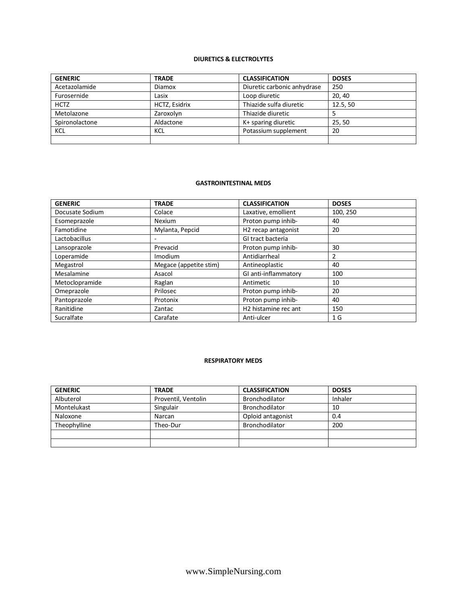## **DIURETICS & ELECTROLYTES**

| <b>GENERIC</b> | <b>TRADE</b>  | <b>CLASSIFICATION</b>       | <b>DOSES</b> |
|----------------|---------------|-----------------------------|--------------|
| Acetazolamide  | <b>Diamox</b> | Diuretic carbonic anhydrase | 250          |
| Furosernide    | Lasix         | Loop diuretic               | 20, 40       |
| <b>HCTZ</b>    | HCTZ, Esidrix | Thiazide sulfa diuretic     | 12.5.50      |
| Metolazone     | Zaroxolyn     | Thiazide diuretic           |              |
| Spironolactone | Aldactone     | K+ sparing diuretic         | 25.50        |
| <b>KCL</b>     | KCL           | Potassium supplement        | 20           |
|                |               |                             |              |

#### **GASTROINTESTINAL MEDS**

| <b>GENERIC</b>  | <b>TRADE</b>           | <b>CLASSIFICATION</b>            | <b>DOSES</b> |
|-----------------|------------------------|----------------------------------|--------------|
| Docusate Sodium | Colace                 | Laxative, emollient              | 100, 250     |
| Esomeprazole    | Nexium                 | Proton pump inhib-               | 40           |
| Famotidine      | Mylanta, Pepcid        | H <sub>2</sub> recap antagonist  | 20           |
| Lactobacillus   |                        | GI tract bacteria                |              |
| Lansoprazole    | Prevacid               | Proton pump inhib-               | 30           |
| Loperamide      | Imodium                | Antidiarrheal                    | 2            |
| Megastrol       | Megace (appetite stim) | Antineoplastic                   | 40           |
| Mesalamine      | Asacol                 | GI anti-inflammatory             | 100          |
| Metoclopramide  | Raglan                 | Antimetic                        | 10           |
| Omeprazole      | Prilosec               | Proton pump inhib-               | 20           |
| Pantoprazole    | Protonix               | Proton pump inhib-               | 40           |
| Ranitidine      | Zantac                 | H <sub>2</sub> histamine rec ant | 150          |
| Sucralfate      | Carafate               | Anti-ulcer                       | 1 G          |

#### **RESPIRATORY MEDS**

| <b>GENERIC</b> | <b>TRADE</b>        | <b>CLASSIFICATION</b> | <b>DOSES</b> |
|----------------|---------------------|-----------------------|--------------|
| Albuterol      | Proventil, Ventolin | Bronchodilator        | Inhaler      |
| Montelukast    | Singulair           | Bronchodilator        | 10           |
| Naloxone       | Narcan              | Oploid antagonist     | 0.4          |
| Theophylline   | Theo-Dur            | Bronchodilator        | 200          |
|                |                     |                       |              |
|                |                     |                       |              |